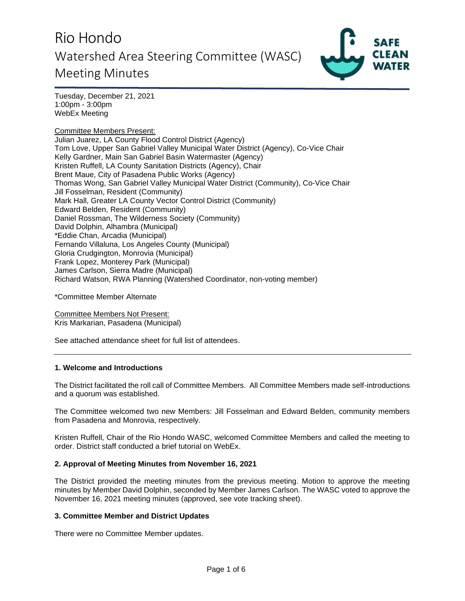# Rio Hondo Watershed Area Steering Committee (WASC) Meeting Minutes



Tuesday, December 21, 2021 1:00pm - 3:00pm WebEx Meeting

Committee Members Present: Julian Juarez, LA County Flood Control District (Agency) Tom Love, Upper San Gabriel Valley Municipal Water District (Agency), Co-Vice Chair Kelly Gardner, Main San Gabriel Basin Watermaster (Agency) Kristen Ruffell, LA County Sanitation Districts (Agency), Chair Brent Maue, City of Pasadena Public Works (Agency) Thomas Wong, San Gabriel Valley Municipal Water District (Community), Co-Vice Chair Jill Fosselman, Resident (Community) Mark Hall, Greater LA County Vector Control District (Community) Edward Belden, Resident (Community) Daniel Rossman, The Wilderness Society (Community) David Dolphin, Alhambra (Municipal) \*Eddie Chan, Arcadia (Municipal) Fernando Villaluna, Los Angeles County (Municipal) Gloria Crudgington, Monrovia (Municipal) Frank Lopez, Monterey Park (Municipal) James Carlson, Sierra Madre (Municipal) Richard Watson, RWA Planning (Watershed Coordinator, non-voting member)

\*Committee Member Alternate

Committee Members Not Present: Kris Markarian, Pasadena (Municipal)

See attached attendance sheet for full list of attendees.

## **1. Welcome and Introductions**

The District facilitated the roll call of Committee Members. All Committee Members made self-introductions and a quorum was established.

The Committee welcomed two new Members: Jill Fosselman and Edward Belden, community members from Pasadena and Monrovia, respectively.

Kristen Ruffell, Chair of the Rio Hondo WASC, welcomed Committee Members and called the meeting to order. District staff conducted a brief tutorial on WebEx.

#### **2. Approval of Meeting Minutes from November 16, 2021**

The District provided the meeting minutes from the previous meeting. Motion to approve the meeting minutes by Member David Dolphin, seconded by Member James Carlson. The WASC voted to approve the November 16, 2021 meeting minutes (approved, see vote tracking sheet).

#### **3. Committee Member and District Updates**

There were no Committee Member updates.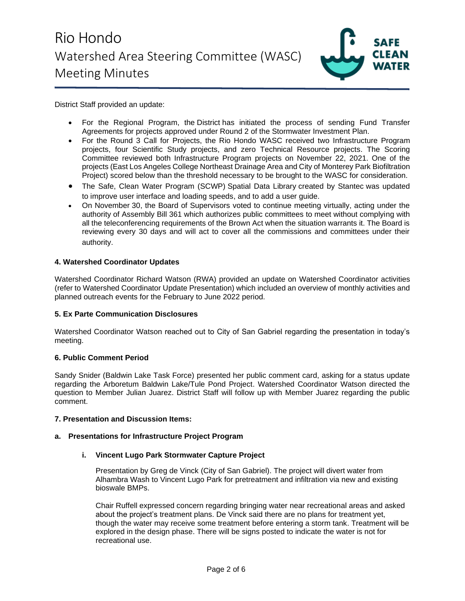

District Staff provided an update:

- For the Regional Program, the District has initiated the process of sending Fund Transfer Agreements for projects approved under Round 2 of the Stormwater Investment Plan.
- For the Round 3 Call for Projects, the Rio Hondo WASC received two Infrastructure Program projects, four Scientific Study projects, and zero Technical Resource projects. The Scoring Committee reviewed both Infrastructure Program projects on November 22, 2021. One of the projects (East Los Angeles College Northeast Drainage Area and City of Monterey Park Biofiltration Project) scored below than the threshold necessary to be brought to the WASC for consideration.
- The Safe, Clean Water Program (SCWP) Spatial Data Library created by Stantec was updated to improve user interface and loading speeds, and to add a user guide.
- On November 30, the Board of Supervisors voted to continue meeting virtually, acting under the authority of Assembly Bill 361 which authorizes public committees to meet without complying with all the teleconferencing requirements of the Brown Act when the situation warrants it. The Board is reviewing every 30 days and will act to cover all the commissions and committees under their authority.

### **4. Watershed Coordinator Updates**

Watershed Coordinator Richard Watson (RWA) provided an update on Watershed Coordinator activities (refer to Watershed Coordinator Update Presentation) which included an overview of monthly activities and planned outreach events for the February to June 2022 period.

#### **5. Ex Parte Communication Disclosures**

Watershed Coordinator Watson reached out to City of San Gabriel regarding the presentation in today's meeting.

#### **6. Public Comment Period**

Sandy Snider (Baldwin Lake Task Force) presented her public comment card, asking for a status update regarding the Arboretum Baldwin Lake/Tule Pond Project. Watershed Coordinator Watson directed the question to Member Julian Juarez. District Staff will follow up with Member Juarez regarding the public comment.

#### **7. Presentation and Discussion Items:**

#### **a. Presentations for Infrastructure Project Program**

#### **i. Vincent Lugo Park Stormwater Capture Project**

Presentation by Greg de Vinck (City of San Gabriel). The project will divert water from Alhambra Wash to Vincent Lugo Park for pretreatment and infiltration via new and existing bioswale BMPs.

Chair Ruffell expressed concern regarding bringing water near recreational areas and asked about the project's treatment plans. De Vinck said there are no plans for treatment yet, though the water may receive some treatment before entering a storm tank. Treatment will be explored in the design phase. There will be signs posted to indicate the water is not for recreational use.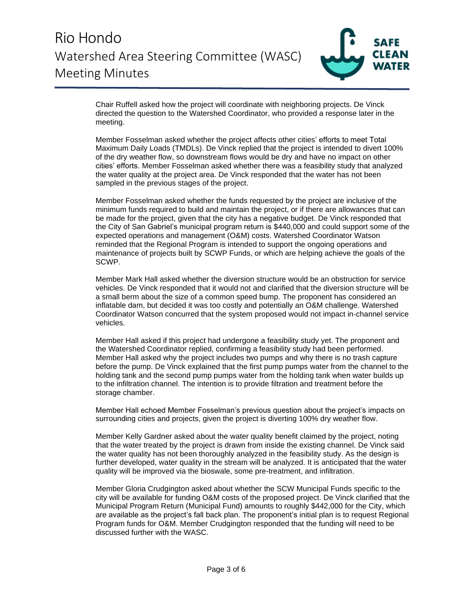

Chair Ruffell asked how the project will coordinate with neighboring projects. De Vinck directed the question to the Watershed Coordinator, who provided a response later in the meeting.

Member Fosselman asked whether the project affects other cities' efforts to meet Total Maximum Daily Loads (TMDLs). De Vinck replied that the project is intended to divert 100% of the dry weather flow, so downstream flows would be dry and have no impact on other cities' efforts. Member Fosselman asked whether there was a feasibility study that analyzed the water quality at the project area. De Vinck responded that the water has not been sampled in the previous stages of the project.

Member Fosselman asked whether the funds requested by the project are inclusive of the minimum funds required to build and maintain the project, or if there are allowances that can be made for the project, given that the city has a negative budget. De Vinck responded that the City of San Gabriel's municipal program return is \$440,000 and could support some of the expected operations and management (O&M) costs. Watershed Coordinator Watson reminded that the Regional Program is intended to support the ongoing operations and maintenance of projects built by SCWP Funds, or which are helping achieve the goals of the SCWP.

Member Mark Hall asked whether the diversion structure would be an obstruction for service vehicles. De Vinck responded that it would not and clarified that the diversion structure will be a small berm about the size of a common speed bump. The proponent has considered an inflatable dam, but decided it was too costly and potentially an O&M challenge. Watershed Coordinator Watson concurred that the system proposed would not impact in-channel service vehicles.

Member Hall asked if this project had undergone a feasibility study yet. The proponent and the Watershed Coordinator replied, confirming a feasibility study had been performed. Member Hall asked why the project includes two pumps and why there is no trash capture before the pump. De Vinck explained that the first pump pumps water from the channel to the holding tank and the second pump pumps water from the holding tank when water builds up to the infiltration channel. The intention is to provide filtration and treatment before the storage chamber.

Member Hall echoed Member Fosselman's previous question about the project's impacts on surrounding cities and projects, given the project is diverting 100% dry weather flow.

Member Kelly Gardner asked about the water quality benefit claimed by the project, noting that the water treated by the project is drawn from inside the existing channel. De Vinck said the water quality has not been thoroughly analyzed in the feasibility study. As the design is further developed, water quality in the stream will be analyzed. It is anticipated that the water quality will be improved via the bioswale, some pre-treatment, and infiltration.

Member Gloria Crudgington asked about whether the SCW Municipal Funds specific to the city will be available for funding O&M costs of the proposed project. De Vinck clarified that the Municipal Program Return (Municipal Fund) amounts to roughly \$442,000 for the City, which are available as the project's fall back plan. The proponent's initial plan is to request Regional Program funds for O&M. Member Crudgington responded that the funding will need to be discussed further with the WASC.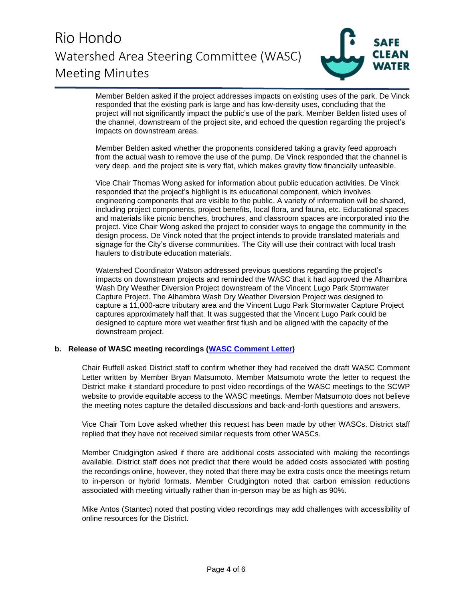# Rio Hondo Watershed Area Steering Committee (WASC) Meeting Minutes



Member Belden asked if the project addresses impacts on existing uses of the park. De Vinck responded that the existing park is large and has low-density uses, concluding that the project will not significantly impact the public's use of the park. Member Belden listed uses of the channel, downstream of the project site, and echoed the question regarding the project's impacts on downstream areas.

Member Belden asked whether the proponents considered taking a gravity feed approach from the actual wash to remove the use of the pump. De Vinck responded that the channel is very deep, and the project site is very flat, which makes gravity flow financially unfeasible.

Vice Chair Thomas Wong asked for information about public education activities. De Vinck responded that the project's highlight is its educational component, which involves engineering components that are visible to the public. A variety of information will be shared, including project components, project benefits, local flora, and fauna, etc. Educational spaces and materials like picnic benches, brochures, and classroom spaces are incorporated into the project. Vice Chair Wong asked the project to consider ways to engage the community in the design process. De Vinck noted that the project intends to provide translated materials and signage for the City's diverse communities. The City will use their contract with local trash haulers to distribute education materials.

Watershed Coordinator Watson addressed previous questions regarding the project's impacts on downstream projects and reminded the WASC that it had approved the Alhambra Wash Dry Weather Diversion Project downstream of the Vincent Lugo Park Stormwater Capture Project. The Alhambra Wash Dry Weather Diversion Project was designed to capture a 11,000-acre tributary area and the Vincent Lugo Park Stormwater Capture Project captures approximately half that. It was suggested that the Vincent Lugo Park could be designed to capture more wet weather first flush and be aligned with the capacity of the downstream project.

#### **b. Release of WASC meeting recordings [\(WASC Comment Letter\)](https://safecleanwaterla.org/wp-content/uploads/2022/01/WASC-Recordings-Letter-to-FCD.pdf)**

Chair Ruffell asked District staff to confirm whether they had received the draft WASC Comment Letter written by Member Bryan Matsumoto. Member Matsumoto wrote the letter to request the District make it standard procedure to post video recordings of the WASC meetings to the SCWP website to provide equitable access to the WASC meetings. Member Matsumoto does not believe the meeting notes capture the detailed discussions and back-and-forth questions and answers.

Vice Chair Tom Love asked whether this request has been made by other WASCs. District staff replied that they have not received similar requests from other WASCs.

Member Crudgington asked if there are additional costs associated with making the recordings available. District staff does not predict that there would be added costs associated with posting the recordings online, however, they noted that there may be extra costs once the meetings return to in-person or hybrid formats. Member Crudgington noted that carbon emission reductions associated with meeting virtually rather than in-person may be as high as 90%.

Mike Antos (Stantec) noted that posting video recordings may add challenges with accessibility of online resources for the District.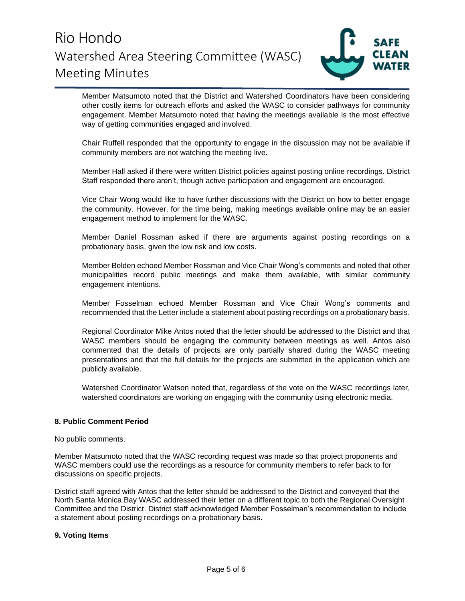## Rio Hondo Watershed Area Steering Committee (WASC) Meeting Minutes



Member Matsumoto noted that the District and Watershed Coordinators have been considering other costly items for outreach efforts and asked the WASC to consider pathways for community engagement. Member Matsumoto noted that having the meetings available is the most effective way of getting communities engaged and involved.

Chair Ruffell responded that the opportunity to engage in the discussion may not be available if community members are not watching the meeting live.

Member Hall asked if there were written District policies against posting online recordings. District Staff responded there aren't, though active participation and engagement are encouraged.

Vice Chair Wong would like to have further discussions with the District on how to better engage the community. However, for the time being, making meetings available online may be an easier engagement method to implement for the WASC.

Member Daniel Rossman asked if there are arguments against posting recordings on a probationary basis, given the low risk and low costs.

Member Belden echoed Member Rossman and Vice Chair Wong's comments and noted that other municipalities record public meetings and make them available, with similar community engagement intentions.

Member Fosselman echoed Member Rossman and Vice Chair Wong's comments and recommended that the Letter include a statement about posting recordings on a probationary basis.

Regional Coordinator Mike Antos noted that the letter should be addressed to the District and that WASC members should be engaging the community between meetings as well. Antos also commented that the details of projects are only partially shared during the WASC meeting presentations and that the full details for the projects are submitted in the application which are publicly available.

Watershed Coordinator Watson noted that, regardless of the vote on the WASC recordings later, watershed coordinators are working on engaging with the community using electronic media.

## **8. Public Comment Period**

No public comments.

Member Matsumoto noted that the WASC recording request was made so that project proponents and WASC members could use the recordings as a resource for community members to refer back to for discussions on specific projects.

District staff agreed with Antos that the letter should be addressed to the District and conveyed that the North Santa Monica Bay WASC addressed their letter on a different topic to both the Regional Oversight Committee and the District. District staff acknowledged Member Fosselman's recommendation to include a statement about posting recordings on a probationary basis.

#### **9. Voting Items**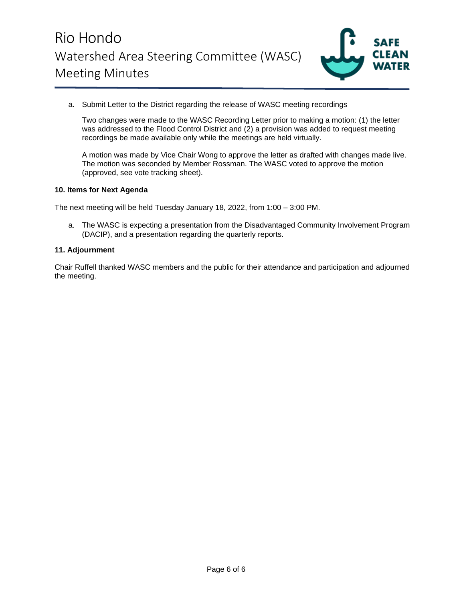

a. Submit Letter to the District regarding the release of WASC meeting recordings

Two changes were made to the WASC Recording Letter prior to making a motion: (1) the letter was addressed to the Flood Control District and (2) a provision was added to request meeting recordings be made available only while the meetings are held virtually.

A motion was made by Vice Chair Wong to approve the letter as drafted with changes made live. The motion was seconded by Member Rossman. The WASC voted to approve the motion (approved, see vote tracking sheet).

#### **10. Items for Next Agenda**

The next meeting will be held Tuesday January 18, 2022, from 1:00 – 3:00 PM.

a. The WASC is expecting a presentation from the Disadvantaged Community Involvement Program (DACIP), and a presentation regarding the quarterly reports.

## **11. Adjournment**

Chair Ruffell thanked WASC members and the public for their attendance and participation and adjourned the meeting.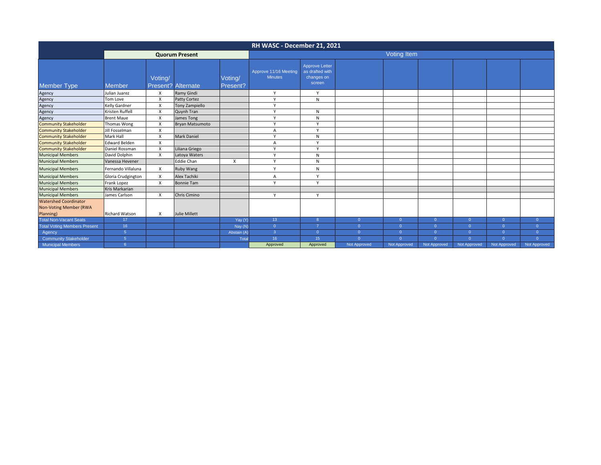| RH WASC - December 21, 2021                                                |                       |                     |                       |                     |                                         |                                                                  |                |                |                |                |              |                |
|----------------------------------------------------------------------------|-----------------------|---------------------|-----------------------|---------------------|-----------------------------------------|------------------------------------------------------------------|----------------|----------------|----------------|----------------|--------------|----------------|
|                                                                            | <b>Quorum Present</b> |                     |                       |                     | <b>Voting Item</b>                      |                                                                  |                |                |                |                |              |                |
| <b>Member Type</b>                                                         | <b>Member</b>         | Voting/<br>Present? | <b>Alternate</b>      | Voting/<br>Present? | Approve 11/16 Meeting<br><b>Minutes</b> | <b>Approve Letter</b><br>as drafted with<br>changes on<br>screen |                |                |                |                |              |                |
| Agency                                                                     | Julian Juarez         | X                   | Ramy Gindi            |                     | Y                                       | Y                                                                |                |                |                |                |              |                |
| Agency                                                                     | Tom Love              | X                   | Patty Cortez          |                     | $\checkmark$                            | ${\sf N}$                                                        |                |                |                |                |              |                |
| Agency                                                                     | Kelly Gardner         | X                   | <b>Tony Zampiello</b> |                     | Y                                       |                                                                  |                |                |                |                |              |                |
| Agency                                                                     | Kristen Ruffell       | X                   | Quynh Tran            |                     | Y                                       | N                                                                |                |                |                |                |              |                |
| Agency                                                                     | <b>Brent Maue</b>     | X                   | James Tong            |                     | V                                       | ${\sf N}$                                                        |                |                |                |                |              |                |
| <b>Community Stakeholder</b>                                               | Thomas Wong           | X                   | Bryan Matsumoto       |                     | $\mathsf{v}$                            | Y                                                                |                |                |                |                |              |                |
| <b>Community Stakeholder</b>                                               | Jill Fosselman        | X                   |                       |                     | $\overline{A}$                          | Y                                                                |                |                |                |                |              |                |
| <b>Community Stakeholder</b>                                               | Mark Hall             | X                   | <b>Mark Daniel</b>    |                     | Y                                       | ${\sf N}$                                                        |                |                |                |                |              |                |
| <b>Community Stakeholder</b>                                               | <b>Edward Belden</b>  | X                   |                       |                     | A                                       | Y                                                                |                |                |                |                |              |                |
| <b>Community Stakeholder</b>                                               | Daniel Rossman        | X                   | Liliana Griego        |                     | V                                       | Y                                                                |                |                |                |                |              |                |
| <b>Municipal Members</b>                                                   | David Dolphin         | $\mathsf{x}$        | Latoya Waters         |                     | $\vee$                                  | N                                                                |                |                |                |                |              |                |
| <b>Municipal Members</b>                                                   | Vanessa Hevener       |                     | <b>Eddie Chan</b>     | X                   | Y                                       | N                                                                |                |                |                |                |              |                |
| <b>Municipal Members</b>                                                   | Fernando Villaluna    | X                   | Ruby Wang             |                     | Y                                       | N                                                                |                |                |                |                |              |                |
| <b>Municipal Members</b>                                                   | Gloria Crudgington    | X                   | Alex Tachiki          |                     | $\overline{A}$                          | Y                                                                |                |                |                |                |              |                |
| <b>Municipal Members</b>                                                   | Frank Lopez           | X                   | <b>Bonnie Tam</b>     |                     | $\vee$                                  | Y                                                                |                |                |                |                |              |                |
| <b>Municipal Members</b>                                                   | Kris Markarian        |                     |                       |                     |                                         |                                                                  |                |                |                |                |              |                |
| <b>Municipal Members</b>                                                   | James Carlson         | X                   | Chris Cimino          |                     | Y                                       | Y                                                                |                |                |                |                |              |                |
| <b>Watershed Coordinator</b><br><b>Non-Voting Member (RWA</b><br>Planning) | <b>Richard Watson</b> | X                   | <b>Julie Millett</b>  |                     |                                         |                                                                  |                |                |                |                |              |                |
| <b>Total Non-Vacant Seats</b>                                              | 17                    |                     |                       | Yay (Y)             | 13 <sup>°</sup>                         | 8                                                                | $\overline{0}$ | $\overline{0}$ | $\overline{0}$ | $\overline{0}$ | $\Omega$     | $\overline{0}$ |
| <b>Total Voting Members Present</b>                                        | 16                    |                     |                       | Nay (N)             | $\overline{0}$                          | $\overline{7}$                                                   | $\overline{0}$ | $\overline{0}$ | $\Omega$       | $\Omega$       | $\Omega$     | $\overline{0}$ |
| Agency                                                                     | 5                     |                     |                       | Abstain (A)         | $\overline{3}$                          | $\Omega$                                                         | $\overline{0}$ | $\overline{0}$ | $\Omega$       | $\overline{0}$ | $\Omega$     | $\Omega$       |
| <b>Community Stakeholder</b>                                               | 5                     |                     |                       | Total               | 16                                      | 15 <sub>15</sub>                                                 | $\Omega$       | $\Omega$       | $\Omega$       | $\Omega$       | $\Omega$     | $\Omega$       |
| <b>Municipal Members</b>                                                   | 6                     |                     |                       |                     | Approved                                | Approved                                                         | Not Approved   | Not Approved   | Not Approved   | Not Approved   | Not Approved | Not Approved   |